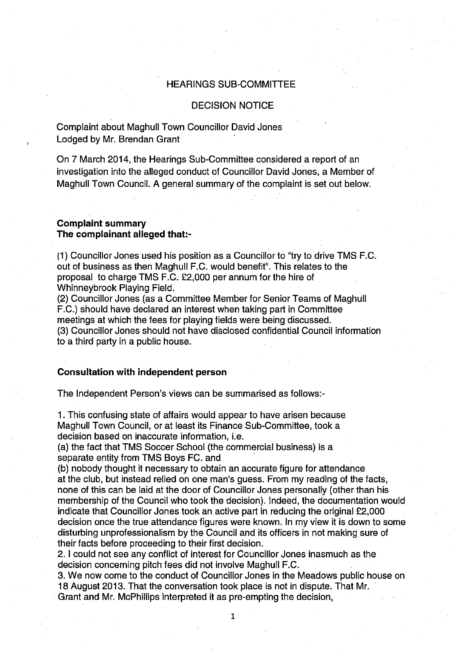# HEARINGS SUB-COMMITTEE

#### DECISION NOTICE

Complaint about Maghull Town Councillor David Jones Lodged by Mr. Brendan Grant

On 7 March 2014, the Hearings Sub-Committee considered a report of an investigation into the alleged conduct of Councillor David Jones, a Member of Maghull Town Council. A general summary of the complaint is set out below.

## **Complaint summary The complainant alleged that:-**

(1) Councillor Jones used his position as a Councillor to "try to drive TMS F.C. out of business as then Maghull F.C. would benefit". This relates to the proposal to charge TMS F.C. £2,000 per annum for the hire of Whinneybrook Playing Field.

(2) Councillor Jones (as a Committee Member for Senior Teams of Maghull F.C.) should have declared an interest when taking part in Committee meetings at which the fees for playing fields were being discussed. (3) Councillor Jones should not have disclosed confidential Council information to a third party in a public house.

### **Consultation with independent person**

The Independent Person's views can be summarised as follows:-

1. This confusing state of affairs would appear to have arisen because Maghull Town Council, or at least its Finance Sub-Committee, took a decision based on inaccurate information, i.e.

(a) the fact that TMS Soccer School (the commercial business) is a separate entity from TMS Boys FC. and

(b) nobody thought it necessary to obtain an accurate figure for attendance at the club, but instead relied on one man's guess. From my reading of the facts, none of this can be laid at the door of Councillor Jones personally (other than his membership of the Council who took the decision). Indeed, the documentation would indicate that Councillor Jones took an active part in reducing the original £2,000 decision once the true attendance figures were known. In my view it is down to some disturbing unprofessionalism by the Council and its officers in not making sure of their facts before proceeding to their first decision.

2. I could not see any conflict of interest for Councillor Jones inasmuch as the decision concerning pitch fees did not involve Maghull F.C.

3. We now come to the conduct of Councillor Jones in the Meadows public house on 18 August 2013. That the conversation took place is not in dispute. That Mr. Grant and Mr. McPhillips interpreted it as pre-empting the decision,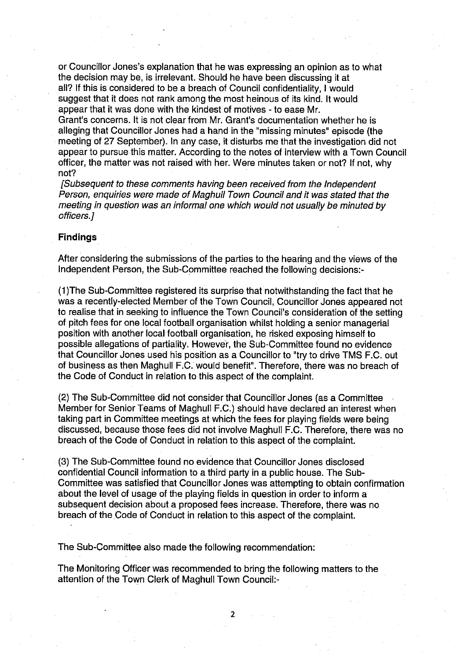or Councillor Jones's explanation that he was expressing an opinion as to what the decision may be, is irrelevant. Should he have been discussing it at all? If this is considered to be a breach of Council confidentiality, I would suggest that it does not rank among the most heinous of its kind. It would •appear that it was done with the kindest of motives - to ease Mr.

Grant's concerns. It is not clear from Mr. Grant's documentation whether he is alleging that Councillor Jones had a hand in the "missing minutes" episode (the meeting of 27 September). In any case, it disturbs me that the investigation did not appear to pursue this matter. According to the notes of interview with a Town Council officer, the matter was not raised with her. Were minutes taken or not? If not, why not?

[Subsequent to these comments having been received from the Independent Person, enquiries were made of Maghull Town Council and it was stated that the meeting in question was an informal one which would not usually be minuted by officers.]

### **Findings**

After considering the submissions of the parties to the hearing and the views of the Independent Person, the Sub-Committee reached the following decisions:-

(1)The Sub-Committee registered its surprise that notwithstanding the fact that he was a recently-elected Member of the Town Council, Councillor Jones appeared not to realise that in seeking to influence the Town Council's consideration of the setting of pitch fees for one local football organisation whilst holding a senior managerial position with another local football organisation, he risked exposing himself to possible allegations of partiality. However, the Sub-Committee found no evidence that Councillor Jones used his position as a Councillor to "try to drive TMS F.C. out of business as then Maghull F.C. would benefit". Therefore, there was no breach of the Code of Conduct in relation to this aspect of the complaint.

(2) The Sub-Committee did not consider that Councillor Jones (as a Committee Member for Senior Teams of Maghull F.C.) should have declared an interest when taking part in Committee meetings at which the fees for playing fields were being discussed, because those fees did not involve Maghull F.C. Therefore, there was no breach of the Code of Conduct in relation to this aspect of the complaint.

(3) The Sub-Committee found no evidence that Councillor Jones disclosed confidential Council information to a third party in a public house. The Sub-Committee was satisfied that Councillor Jones was attempting to obtain confirmation about the level of usage of the playing fields in question in order to inform a subsequent decision about a proposed fees increase. Therefore, there was no breach of the Code of Conduct in relation to this aspect of the complaint.

The Sub-Committee also made the following recommendation:

The Monitoring Officer was recommended to bring the following matters to the attention of the Town Clerk of Maghull Town Council:-